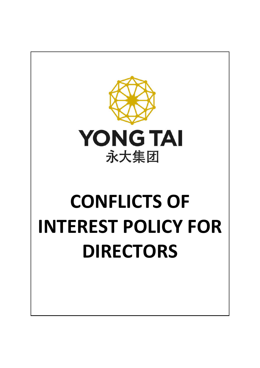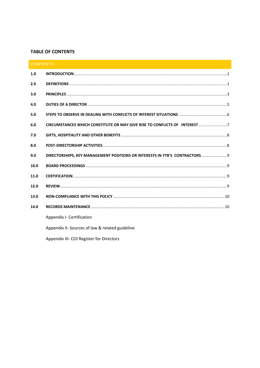## **TABLE OF CONTENTS**

| <b>CONTENTS</b> |                                                                              |
|-----------------|------------------------------------------------------------------------------|
| 1.0             |                                                                              |
| 2.0             |                                                                              |
| 3.0             |                                                                              |
| 4.0             |                                                                              |
| 5.0             |                                                                              |
| 6.0             | CIRCUMSTANCES WHICH CONSTITUTE OR MAY GIVE RISE TO CONFLICTS OF INTEREST7    |
| 7.0             |                                                                              |
| 8.0             |                                                                              |
| 9.0             | DIRECTORSHIPS, KEY MANAGEMENT POSITIONS OR INTERESTS IN YTB'S CONTRACTORS  9 |
| 10.0            |                                                                              |
| 11.0            |                                                                              |
| 12.0            |                                                                              |
| 13.0            |                                                                              |
| 14.0            |                                                                              |
|                 | Appendix I- Certification                                                    |
|                 | Appendix II- Sources of law & related guideline                              |
|                 |                                                                              |

Appendix III- COI Register for Directors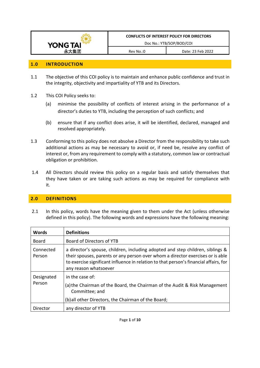

#### **1.0 INTRODUCTION**

- 1.1 The objective of this COI policy is to maintain and enhance public confidence and trust in the integrity, objectivity and impartiality of YTB and its Directors.
- 1.2 This COI Policy seeks to:
	- (a) minimise the possibility of conflicts of interest arising in the performance of a director's duties to YTB, including the perception of such conflicts; and
	- (b) ensure that if any conflict does arise, it will be identified, declared, managed and resolved appropriately.
- 1.3 Conforming to this policy does not absolve a Director from the responsibility to take such additional actions as may be necessary to avoid or, if need be, resolve any conflict of interest or, from any requirement to comply with a statutory, common law or contractual obligation or prohibition.
- 1.4 All Directors should review this policy on a regular basis and satisfy themselves that they have taken or are taking such actions as may be required for compliance with it.

## **2.0 DEFINITIONS**

2.1 In this policy, words have the meaning given to them under the Act (unless otherwise defined in this policy). The following words and expressions have the following meaning:

| <b>Words</b>         | <b>Definitions</b>                                                                                                                                                                                                                                                                 |
|----------------------|------------------------------------------------------------------------------------------------------------------------------------------------------------------------------------------------------------------------------------------------------------------------------------|
| <b>Board</b>         | Board of Directors of YTB                                                                                                                                                                                                                                                          |
| Connected<br>Person  | a director's spouse, children, including adopted and step children, siblings &<br>their spouses, parents or any person over whom a director exercises or is able<br>to exercise significant influence in relation to that person's financial affairs, for<br>any reason whatsoever |
| Designated<br>Person | in the case of:<br>(a) the Chairman of the Board, the Chairman of the Audit & Risk Management<br>Committee; and                                                                                                                                                                    |
|                      | (b) all other Directors, the Chairman of the Board;                                                                                                                                                                                                                                |
| Director             | any director of YTB                                                                                                                                                                                                                                                                |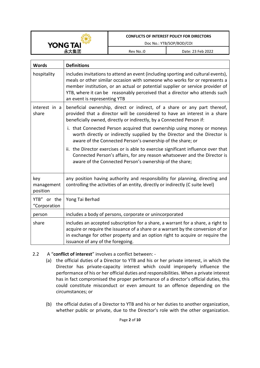

Doc No.: YTB/SOP/BOD/COI

Rev No.:0 Date: 23 Feb 2022

| <b>Words</b>                  | <b>Definitions</b>                                                                                                                                                                                                                                                                                                                                             |
|-------------------------------|----------------------------------------------------------------------------------------------------------------------------------------------------------------------------------------------------------------------------------------------------------------------------------------------------------------------------------------------------------------|
| hospitality                   | includes invitations to attend an event (including sporting and cultural events),<br>meals or other similar occasion with someone who works for or represents a<br>member institution, or an actual or potential supplier or service provider of<br>YTB, where it can be reasonably perceived that a director who attends such<br>an event is representing YTB |
| interest in a<br>share        | beneficial ownership, direct or indirect, of a share or any part thereof,<br>provided that a director will be considered to have an interest in a share<br>beneficially owned, directly or indirectly, by a Connected Person if:                                                                                                                               |
|                               | i. that Connected Person acquired that ownership using money or moneys<br>worth directly or indirectly supplied by the Director and the Director is<br>aware of the Connected Person's ownership of the share; or                                                                                                                                              |
|                               | ii. the Director exercises or is able to exercise significant influence over that<br>Connected Person's affairs, for any reason whatsoever and the Director is<br>aware of the Connected Person's ownership of the share;                                                                                                                                      |
| key<br>management<br>position | any position having authority and responsibility for planning, directing and<br>controlling the activities of an entity, directly or indirectly (C suite level)                                                                                                                                                                                                |
| YTB" or the<br>"Corporation   | Yong Tai Berhad                                                                                                                                                                                                                                                                                                                                                |
| person                        | includes a body of persons, corporate or unincorporated                                                                                                                                                                                                                                                                                                        |
| share                         | includes an accepted subscription for a share, a warrant for a share, a right to<br>acquire or require the issuance of a share or a warrant by the conversion of or<br>in exchange for other property and an option right to acquire or require the<br>issuance of any of the foregoing.                                                                       |

- 2.2 A "**conflict of interest**" involves a conflict between:
	- (a) the official duties of a Director to YTB and his or her private interest, in which the Director has private-capacity interest which could improperly influence the performance of his or her official duties and responsibilities. When a private interest has in fact compromised the proper performance of a director's official duties, this could constitute misconduct or even amount to an offence depending on the circumstances; or
	- (b) the official duties of a Director to YTB and his or her duties to another organization, whether public or private, due to the Director's role with the other organization.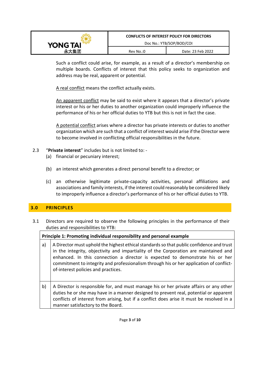|                                             | <b>CONFLICTS OF INTEREST POLICY FOR DIRECTORS</b> |  |  |
|---------------------------------------------|---------------------------------------------------|--|--|
| Doc No.: YTB/SOP/BOD/COI<br><b>YONG TAI</b> |                                                   |  |  |
| Date: 23 Feb 2022<br>Rev No.:0              |                                                   |  |  |

Such a conflict could arise, for example, as a result of a director's membership on multiple boards. Conflicts of interest that this policy seeks to organization and address may be real, apparent or potential.

A real conflict means the conflict actually exists.

An apparent conflict may be said to exist where it appears that a director's private interest or his or her duties to another organization could improperly influence the performance of his or her official duties to YTB but this is not in fact the case.

A potential conflict arises where a director has private interests or duties to another organization which are such that a conflict of interest would arise if the Director were to become involved in conflicting official responsibilities in the future.

2.3 "**Private interest**" includes but is not limited to: -

manner satisfactory to the Board.

- (a) financial or pecuniary interest;
- (b) an interest which generates a direct personal benefit to a director; or
- (c) an otherwise legitimate private-capacity activities, personal affiliations and associations and family interests, if the interest could reasonably be considered likely to improperly influence a director's performance of his or her official duties to YTB.

# **3.0 PRINCIPLES**

3.1 Directors are required to observe the following principles in the performance of their duties and responsibilities to YTB:

## **Principle 1: Promoting individual responsibility and personal example**

| a) | A Director must uphold the highest ethical standards so that public confidence and trust<br>in the integrity, objectivity and impartiality of the Corporation are maintained and<br>enhanced. In this connection a director is expected to demonstrate his or her<br>commitment to integrity and professionalism through his or her application of conflict-<br>of-interest policies and practices. |
|----|-----------------------------------------------------------------------------------------------------------------------------------------------------------------------------------------------------------------------------------------------------------------------------------------------------------------------------------------------------------------------------------------------------|
| b) | A Director is responsible for, and must manage his or her private affairs or any other<br>duties he or she may have in a manner designed to prevent real, potential or apparent                                                                                                                                                                                                                     |

conflicts of interest from arising, but if a conflict does arise it must be resolved in a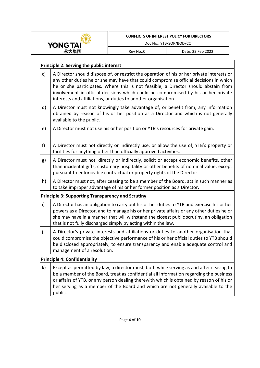

Doc No.: YTB/SOP/BOD/COI

Rev No.:0 Date: 23 Feb 2022

 $\overline{\phantom{a}}$ 

|              | <b>Principle 2: Serving the public interest</b>                                                                                                                                                                                                                                                                                                                                                                                   |  |  |  |
|--------------|-----------------------------------------------------------------------------------------------------------------------------------------------------------------------------------------------------------------------------------------------------------------------------------------------------------------------------------------------------------------------------------------------------------------------------------|--|--|--|
| $\mathsf{c}$ | A Director should dispose of, or restrict the operation of his or her private interests or<br>any other duties he or she may have that could compromise official decisions in which<br>he or she participates. Where this is not feasible, a Director should abstain from<br>involvement in official decisions which could be compromised by his or her private<br>interests and affiliations, or duties to another organisation. |  |  |  |
| d)           | A Director must not knowingly take advantage of, or benefit from, any information<br>obtained by reason of his or her position as a Director and which is not generally<br>available to the public.                                                                                                                                                                                                                               |  |  |  |
| e)           | A Director must not use his or her position or YTB's resources for private gain.                                                                                                                                                                                                                                                                                                                                                  |  |  |  |
| f            | A Director must not directly or indirectly use, or allow the use of, YTB's property or<br>facilities for anything other than officially approved activities.                                                                                                                                                                                                                                                                      |  |  |  |
| g)           | A Director must not, directly or indirectly, solicit or accept economic benefits, other<br>than incidental gifts, customary hospitality or other benefits of nominal value, except<br>pursuant to enforceable contractual or property rights of the Director.                                                                                                                                                                     |  |  |  |
| h)           | A Director must not, after ceasing to be a member of the Board, act in such manner as<br>to take improper advantage of his or her former position as a Director.                                                                                                                                                                                                                                                                  |  |  |  |
|              | <b>Principle 3: Supporting Transparency and Scrutiny</b>                                                                                                                                                                                                                                                                                                                                                                          |  |  |  |
| $\mathsf{i}$ | A Director has an obligation to carry out his or her duties to YTB and exercise his or her<br>powers as a Director, and to manage his or her private affairs or any other duties he or<br>she may have in a manner that will withstand the closest public scrutiny, an obligation<br>that is not fully discharged simply by acting within the law.                                                                                |  |  |  |
| j)           | A Director's private interests and affiliations or duties to another organisation that<br>could compromise the objective performance of his or her official duties to YTB should<br>be disclosed appropriately, to ensure transparency and enable adequate control and<br>management of a resolution.                                                                                                                             |  |  |  |
|              | <b>Principle 4: Confidentiality</b>                                                                                                                                                                                                                                                                                                                                                                                               |  |  |  |
| k)           | Except as permitted by law, a director must, both while serving as and after ceasing to<br>be a member of the Board, treat as confidential all information regarding the business<br>or affairs of YTB, or any person dealing therewith which is obtained by reason of his or<br>her serving as a member of the Board and which are not generally available to the<br>public.                                                     |  |  |  |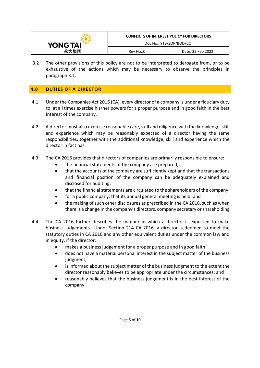

3.2 The other provisions of this policy are not to be interpreted to derogate from, or to be exhaustive of the actions which may be necessary to observe the principles in paragraph 3.1.

# **4.0 DUTIES OF A DIRECTOR**

- 4.1 Under the Companies Act 2016 (CA), every director of a company is under a fiduciary duty to, at all times exercise his/her powers for a proper purpose and in good faith in the best interest of the company.
- 4.2 A director must also exercise reasonable care, skill and diligence with the knowledge, skill and experience which may be reasonably expected of a director having the same responsibilities, together with the additional knowledge, skill and experience which the director in fact has.
- 4.3 The CA 2016 provides that directors of companies are primarily responsible to ensure:
	- the financial statements of the company are prepared;
	- that the accounts of the company are sufficiently kept and that the transactions and financial position of the company can be adequately explained and disclosed for auditing;
	- that the financial statements are circulated to the shareholders of the company;
	- for a public company, that its annual general meeting is held; and
	- the making of such other disclosures as prescribed in the CA 2016, such as when there is a change in the company's directors, company secretary or shareholding.
- 4.4 The CA 2016 further describes the manner in which a director is expected to make business judgements. Under Section 214 CA 2016, a director is deemed to meet the statutory duties in CA 2016 and any other equivalent duties under the common law and in equity, if the director:
	- makes a business judgement for a proper purpose and in good faith;
	- does not have a material personal interest in the subject matter of the business judgment;
	- is informed about the subject matter of the business judgment to the extent the director reasonably believes to be appropriate under the circumstances; and
	- reasonably believes that the business judgement is in the best interest of the company.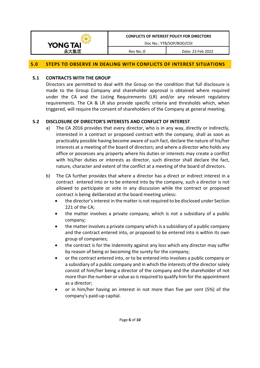

Doc No.: YTB/SOP/BOD/COI

Rev No.:0 Date: 23 Feb 2022

#### **5.0 STEPS TO OBSERVE IN DEALING WITH CONFLICTS OF INTEREST SITUATIONS**

#### **5.1 CONTRACTS WITH THE GROUP**

Directors are permitted to deal with the Group on the condition that full disclosure is made to the Group Company and shareholder approval is obtained where required under the CA and the Listing Requirements (LR) and/or any relevant regulatory requirements. The CA & LR also provide specific criteria and thresholds which, when triggered, will require the consent of shareholders of the Company at general meeting.

### **5.2 DISCLOSURE OF DIRECTOR'S INTERESTS AND CONFLICT OF INTEREST**

- a) The CA 2016 provides that every director, who is in any way, directly or indirectly, interested in a contract or proposed contract with the company, shall as soon as practicably possible having become aware of such fact, declare the nature of his/her interests at a meeting of the board of directors; and where a director who holds any office or possesses any property where his duties or interests may create a conflict with his/her duties or interests as director, such director shall declare the fact, nature, character and extent of the conflict at a meeting of the board of directors.
- b) The CA further provides that where a director has a direct or indirect interest in a contract entered into or to be entered into by the company, such a director is not allowed to participate or vote in any discussion while the contract or proposed contract is being deliberated at the board meeting unless:
	- the director's interest in the matter is not required to be disclosed under Section 221 of the CA;
	- the matter involves a private company, which is not a subsidiary of a public company;
	- the matter involves a private company which is a subsidiary of a public company and the contract entered into, or proposed to be entered into is within its own group of companies;
	- the contract is for the indemnity against any loss which any director may suffer by reason of being or becoming the surety for the company;
	- or the contract entered into, or to be entered into involves a public company or a subsidiary of a public company and in which the interests of the director solely consist of him/her being a director of the company and the shareholder of not more than the number or value as is required to qualify him for the appointment as a director;
	- or in him/her having an interest in not more than five per cent (5%) of the company's paid-up capital.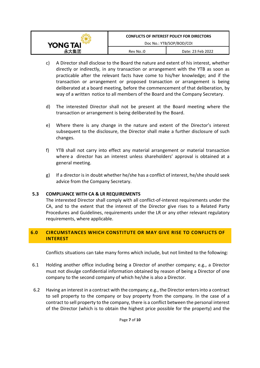|                 | <b>CONFLICTS OF INTEREST POLICY FOR DIRECTORS</b> |                   |  |
|-----------------|---------------------------------------------------|-------------------|--|
| <b>YONG TAI</b> | Doc No.: YTB/SOP/BOD/COI                          |                   |  |
|                 | Rev No.:0                                         | Date: 23 Feb 2022 |  |

- c) A Director shall disclose to the Board the nature and extent of his interest, whether directly or indirectly, in any transaction or arrangement with the YTB as soon as practicable after the relevant facts have come to his/her knowledge; and if the transaction or arrangement or proposed transaction or arrangement is being deliberated at a board meeting, before the commencement of that deliberation, by way of a written notice to all members of the Board and the Company Secretary.
- d) The interested Director shall not be present at the Board meeting where the transaction or arrangement is being deliberated by the Board.
- e) Where there is any change in the nature and extent of the Director's interest subsequent to the disclosure, the Director shall make a further disclosure of such changes.
- f) YTB shall not carry into effect any material arrangement or material transaction where a director has an interest unless shareholders' approval is obtained at a general meeting.
- g) If a director is in doubt whether he/she has a conflict of interest, he/she should seek advice from the Company Secretary.

#### **5.3 COMPLIANCE WITH CA & LR REQUIREMENTS**

The interested Director shall comply with all conflict-of-interest requirements under the CA, and to the extent that the interest of the Director give rises to a Related Party Procedures and Guidelines, requirements under the LR or any other relevant regulatory requirements, where applicable.

## **6.0 CIRCUMSTANCES WHICH CONSTITUTE OR MAY GIVE RISE TO CONFLICTS OF INTEREST**

Conflicts situations can take many forms which include, but not limited to the following:

- 6.1 Holding another office including being a Director of another company; e.g., a Director must not divulge confidential information obtained by reason of being a Director of one company to the second company of which he/she is also a Director.
- 6.2 Having an interest in a contract with the company; e.g., the Director enters into a contract to sell property to the company or buy property from the company. In the case of a contract to sell property to the company, there is a conflict between the personal interest of the Director (which is to obtain the highest price possible for the property) and the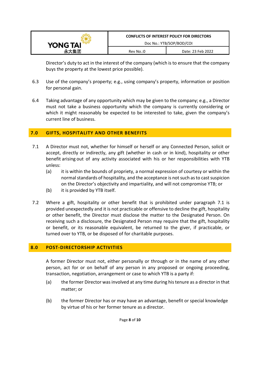

Director's duty to act in the interest of the company (which is to ensure that the company buys the property at the lowest price possible).

- 6.3 Use of the company's property; e.g., using company's property, information or position for personal gain.
- 6.4 Taking advantage of any opportunity which may be given to the company; e.g., a Director must not take a business opportunity which the company is currently considering or which it might reasonably be expected to be interested to take, given the company's current line of business.

## **7.0 GIFTS, HOSPITALITY AND OTHER BENEFITS**

- 7.1 A Director must not, whether for himself or herself or any Connected Person, solicit or accept, directly or indirectly, any gift (whether in cash or in kind), hospitality or other benefit arising out of any activity associated with his or her responsibilities with YTB unless:
	- (a) it is within the bounds of propriety, a normal expression of courtesy or within the normal standards of hospitality, and the acceptance is not such as to cast suspicion on the Director's objectivity and impartiality, and will not compromise YTB; or
	- (b) it is provided by YTB itself.
- 7.2 Where a gift, hospitality or other benefit that is prohibited under paragraph 7.1 is provided unexpectedly and it is not practicable or offensive to decline the gift, hospitality or other benefit, the Director must disclose the matter to the Designated Person. On receiving such a disclosure, the Designated Person may require that the gift, hospitality or benefit, or its reasonable equivalent, be returned to the giver, if practicable, or turned over to YTB, or be disposed of for charitable purposes.

## **8.0 POST-DIRECTORSHIP ACTIVITIES**

A former Director must not, either personally or through or in the name of any other person, act for or on behalf of any person in any proposed or ongoing proceeding, transaction, negotiation, arrangement or case to which YTB is a party if:

- (a) the former Director was involved at any time during his tenure as a director in that matter; or
- (b) the former Director has or may have an advantage, benefit or special knowledge by virtue of his or her former tenure as a director.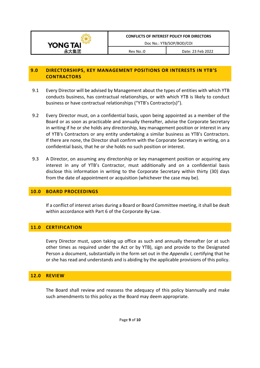

## **9.0 DIRECTORSHIPS, KEY MANAGEMENT POSITIONS OR INTERESTS IN YTB'S CONTRACTORS**

- 9.1 Every Director will be advised by Management about the types of entities with which YTB conducts business, has contractual relationships, or with which YTB is likely to conduct business or have contractual relationships ("YTB's Contractor(s)").
- 9.2 Every Director must, on a confidential basis, upon being appointed as a member of the Board or as soon as practicable and annually thereafter, advise the Corporate Secretary in writing if he or she holds any directorship, key management position or interest in any of YTB's Contractors or any entity undertaking a similar business as YTB's Contractors. If there are none, the Director shall confirm with the Corporate Secretary in writing, on a confidential basis, that he or she holds no such position or interest.
- 9.3 A Director, on assuming any directorship or key management position or acquiring any interest in any of YTB's Contractor, must additionally and on a confidential basis disclose this information in writing to the Corporate Secretary within thirty (30) days from the date of appointment or acquisition (whichever the case may be).

## **10.0 BOARD PROCEEDINGS**

If a conflict of interest arises during a Board or Board Committee meeting, it shall be dealt within accordance with Part 6 of the Corporate By-Law.

## **11.0 CERTIFICATION**

Every Director must, upon taking up office as such and annually thereafter (or at such other times as required under the Act or by YTB), sign and provide to the Designated Person a document, substantially in the form set out in the *Appendix I*, certifying that he or she has read and understands and is abiding by the applicable provisions of this policy.

#### **12.0 REVIEW**

The Board shall review and reassess the adequacy of this policy biannually and make such amendments to this policy as the Board may deem appropriate.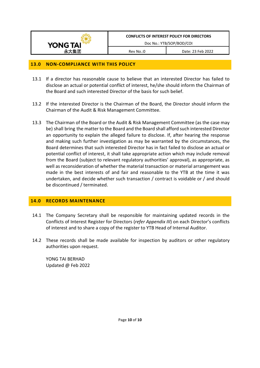

#### **13.0 NON-COMPLIANCE WITH THIS POLICY**

- 13.1 If a director has reasonable cause to believe that an interested Director has failed to disclose an actual or potential conflict of interest, he/she should inform the Chairman of the Board and such interested Director of the basis for such belief.
- 13.2 If the interested Director is the Chairman of the Board, the Director should inform the Chairman of the Audit & Risk Management Committee.
- 13.3 The Chairman of the Board or the Audit & Risk Management Committee (as the case may be) shall bring the matter to the Board and the Board shall afford such interested Director an opportunity to explain the alleged failure to disclose. If, after hearing the response and making such further investigation as may be warranted by the circumstances, the Board determines that such interested Director has in fact failed to disclose an actual or potential conflict of interest, it shall take appropriate action which may include removal from the Board (subject to relevant regulatory authorities' approval), as appropriate, as well as reconsideration of whether the material transaction or material arrangement was made in the best interests of and fair and reasonable to the YTB at the time it was undertaken, and decide whether such transaction / contract is voidable or / and should be discontinued / terminated.

#### **14.0 RECORDS MAINTENANCE**

- 14.1 The Company Secretary shall be responsible for maintaining updated records in the Conflicts of Interest Register for Directors (*refer Appendix III*) on each Director's conflicts of interest and to share a copy of the register to YTB Head of Internal Auditor.
- 14.2 These records shall be made available for inspection by auditors or other regulatory authorities upon request.

YONG TAI BERHAD Updated @ Feb 2022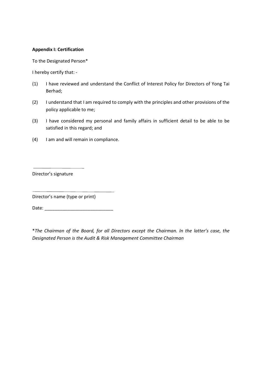#### **Appendix I: Certification**

To the Designated Person\*

I hereby certify that: -

- (1) I have reviewed and understand the Conflict of Interest Policy for Directors of Yong Tai Berhad;
- (2) I understand that I am required to comply with the principles and other provisions of the policy applicable to me;
- (3) I have considered my personal and family affairs in sufficient detail to be able to be satisfied in this regard; and
- (4) I am and will remain in compliance.

Director's signature

Director's name (type or print)

Date: \_\_\_\_\_\_\_\_\_\_\_\_\_\_\_\_\_\_\_\_\_\_\_\_\_\_\_

\**The Chairman of the Board, for all Directors except the Chairman. In the latter's case, the Designated Person is the Audit & Risk Management Committee Chairman*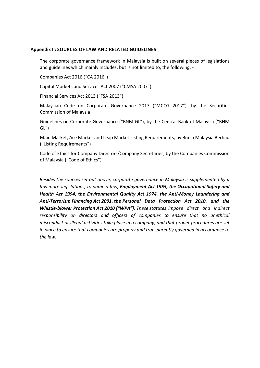#### **Appendix II: SOURCES OF LAW AND RELATED GUIDELINES**

The corporate governance framework in Malaysia is built on several pieces of legislations and guidelines which mainly includes, but is not limited to, the following: -

Companies Act 2016 ("CA 2016")

Capital Markets and Services Act 2007 ("CMSA 2007")

Financial Services Act 2013 ("FSA 2013")

Malaysian Code on Corporate Governance 2017 ("MCCG 2017"), by the Securities Commission of Malaysia

Guidelines on Corporate Governance ("BNM GL"), by the Central Bank of Malaysia ("BNM GL")

Main Market, Ace Market and Leap Market Listing Requirements, by Bursa Malaysia Berhad ("Listing Requirements")

Code of Ethics for Company Directors/Company Secretaries, by the Companies Commission of Malaysia ("Code of Ethics")

*Besides the sources set out above, corporate governance in Malaysia is supplemented by a few more legislations, to name a few, Employment Act 1955, the Occupational Safety and Health Act 1994, the Environmental Quality Act 1974, the Anti-Money Laundering and Anti-Terrorism Financing Act 2001, the Personal Data Protection Act 2010, and the Whistle-blower Protection Act 2010 ("WPA"). These statutes impose direct and indirect responsibility on directors and officers of companies to ensure that no unethical misconduct or illegal activities take place in a company, and that proper procedures are set in place to ensure that companies are properly and transparently governed in accordance to the law.*